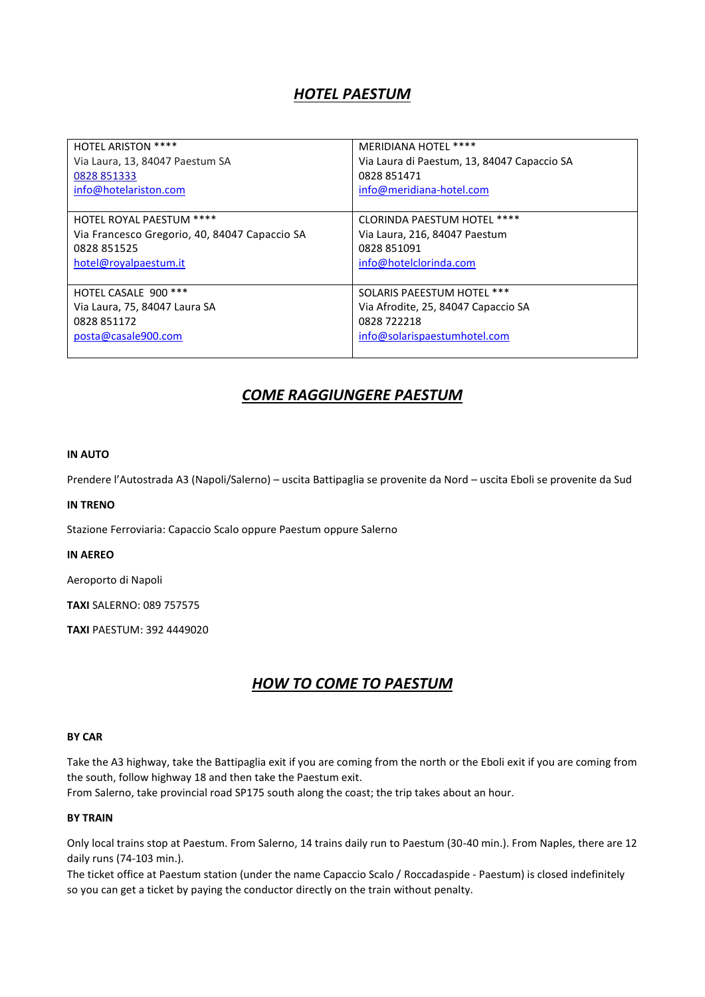# *HOTEL PAESTUM*

| <b>HOTEL ARISTON ****</b>                     | MERIDIANA HOTEL ****                        |
|-----------------------------------------------|---------------------------------------------|
| Via Laura, 13, 84047 Paestum SA               | Via Laura di Paestum, 13, 84047 Capaccio SA |
| 0828 851333                                   | 0828 851471                                 |
| info@hotelariston.com                         | info@meridiana-hotel.com                    |
|                                               |                                             |
| HOTEL ROYAL PAESTUM ****                      | <b>CLORINDA PAESTUM HOTEL ****</b>          |
| Via Francesco Gregorio, 40, 84047 Capaccio SA | Via Laura, 216, 84047 Paestum               |
| 0828 851525                                   | 0828 851091                                 |
| hotel@royalpaestum.it                         | info@hotelclorinda.com                      |
|                                               |                                             |
| HOTEL CASALE 900 ***                          | SOLARIS PAEESTUM HOTEL ***                  |
| Via Laura, 75, 84047 Laura SA                 | Via Afrodite, 25, 84047 Capaccio SA         |
| 0828 851172                                   | 0828 722218                                 |
| posta@casale900.com                           | info@solarispaestumhotel.com                |
|                                               |                                             |

## *COME RAGGIUNGERE PAESTUM*

## **IN AUTO**

Prendere l'Autostrada A3 (Napoli/Salerno) – uscita Battipaglia se provenite da Nord – uscita Eboli se provenite da Sud

#### **IN TRENO**

Stazione Ferroviaria: Capaccio Scalo oppure Paestum oppure Salerno

### **IN AEREO**

Aeroporto di Napoli

**TAXI** SALERNO: 089 757575

**TAXI** PAESTUM: 392 4449020

# *HOW TO COME TO PAESTUM*

## **BY CAR**

Take the A3 highway, take the Battipaglia exit if you are coming from the north or the Eboli exit if you are coming from the south, follow highway 18 and then take the Paestum exit.

From Salerno, take provincial road SP175 south along the coast; the trip takes about an hour.

#### **BY TRAIN**

Only local trains stop at Paestum. From Salerno, 14 trains daily run to Paestum (30-40 min.). From Naples, there are 12 daily runs (74-103 min.).

The ticket office at Paestum station (under the name Capaccio Scalo / Roccadaspide - Paestum) is closed indefinitely so you can get a ticket by paying the conductor directly on the train without penalty.